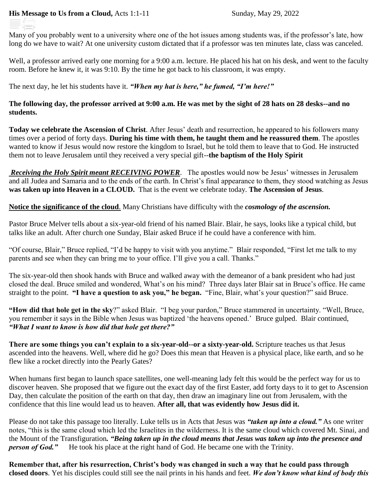Many of you probably went to a university where one of the hot issues among students was, if the professor's late, how long do we have to wait? At one university custom dictated that if a professor was ten minutes late, class was canceled.

Well, a professor arrived early one morning for a 9:00 a.m. lecture. He placed his hat on his desk, and went to the faculty room. Before he knew it, it was 9:10. By the time he got back to his classroom, it was empty.

The next day, he let his students have it. *"When my hat is here," he fumed, "I'm here!"*

## **The following day, the professor arrived at 9:00 a.m. He was met by the sight of 28 hats on 28 desks--and no students.**

**Today we celebrate the Ascension of Christ**. After Jesus' death and resurrection, he appeared to his followers many times over a period of forty days. **During his time with them, he taught them and he reassured them**. The apostles wanted to know if Jesus would now restore the kingdom to Israel, but he told them to leave that to God. He instructed them not to leave Jerusalem until they received a very special gift--**the baptism of the Holy Spirit**

*Receiving the Holy Spirit meant RECEIVING POWER*. The apostles would now be Jesus' witnesses in Jerusalem and all Judea and Samaria and to the ends of the earth. In Christ's final appearance to them, they stood watching as Jesus **was taken up into Heaven in a CLOUD.** That is the event we celebrate today. **The Ascension of Jesus**.

**Notice the significance of the cloud**. Many Christians have difficulty with the *cosmology of the ascension.*

Pastor Bruce Melver tells about a six-year-old friend of his named Blair. Blair, he says, looks like a typical child, but talks like an adult. After church one Sunday, Blair asked Bruce if he could have a conference with him.

"Of course, Blair," Bruce replied, "I'd be happy to visit with you anytime." Blair responded, "First let me talk to my parents and see when they can bring me to your office. I'll give you a call. Thanks."

The six-year-old then shook hands with Bruce and walked away with the demeanor of a bank president who had just closed the deal. Bruce smiled and wondered, What's on his mind? Three days later Blair sat in Bruce's office. He came straight to the point. **"I have a question to ask you," he began.** "Fine, Blair, what's your question?" said Bruce.

**"How did that hole get in the sky**?" asked Blair. "I beg your pardon," Bruce stammered in uncertainty. "Well, Bruce, you remember it says in the Bible when Jesus was baptized 'the heavens opened.' Bruce gulped. Blair continued, *"What I want to know is how did that hole get there?"*

**There are some things you can't explain to a six-year-old--or a sixty-year-old.** Scripture teaches us that Jesus ascended into the heavens. Well, where did he go? Does this mean that Heaven is a physical place, like earth, and so he flew like a rocket directly into the Pearly Gates?

When humans first began to launch space satellites, one well-meaning lady felt this would be the perfect way for us to discover heaven. She proposed that we figure out the exact day of the first Easter, add forty days to it to get to Ascension Day, then calculate the position of the earth on that day, then draw an imaginary line out from Jerusalem, with the confidence that this line would lead us to heaven. **After all, that was evidently how Jesus did it.**

Please do not take this passage too literally. Luke tells us in Acts that Jesus was *"taken up into a cloud."* As one writer notes, "this is the same cloud which led the Israelites in the wilderness. It is the same cloud which covered Mt. Sinai, and the Mount of the Transfiguration*. "Being taken up in the cloud means that Jesus was taken up into the presence and person of God.* He took his place at the right hand of God. He became one with the Trinity.

**Remember that, after his resurrection, Christ's body was changed in such a way that he could pass through closed doors**. Yet his disciples could still see the nail prints in his hands and feet. *We don't know what kind of body this*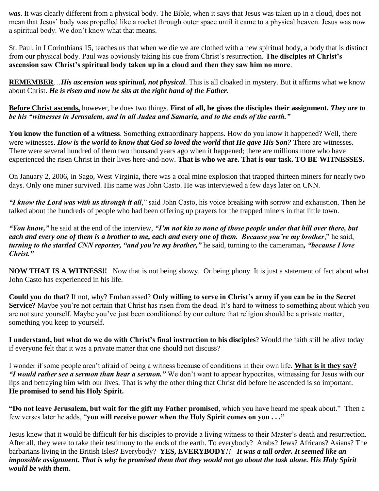*was*. It was clearly different from a physical body. The Bible, when it says that Jesus was taken up in a cloud, does not mean that Jesus' body was propelled like a rocket through outer space until it came to a physical heaven. Jesus was now a spiritual body. We don't know what that means.

St. Paul, in I Corinthians 15, teaches us that when we die we are clothed with a new spiritual body, a body that is distinct from our physical body. Paul was obviously taking his cue from Christ's resurrection. **The disciples at Christ's ascension saw Christ's spiritual body taken up in a cloud and then they saw him no more**.

**REMEMBER**…*His ascension was spiritual, not physical*. This is all cloaked in mystery. But it affirms what we know about Christ. *He is risen and now he sits at the right hand of the Father.*

**Before Christ ascends,** however, he does two things. **First of all, he gives the disciples their assignment.** *They are to be his "witnesses in Jerusalem, and in all Judea and Samaria, and to the ends of the earth."*

**You know the function of a witness**. Something extraordinary happens. How do you know it happened? Well, there were witnesses. *How is the world to know that God so loved the world that He gave His Son?* There are witnesses. There were several hundred of them two thousand years ago when it happened; there are millions more who have experienced the risen Christ in their lives here-and-now. **That is who we are. That is our task. TO BE WITNESSES.** 

On January 2, 2006, in Sago, West Virginia, there was a coal mine explosion that trapped thirteen miners for nearly two days. Only one miner survived. His name was John Casto. He was interviewed a few days later on CNN.

*"I know the Lord was with us through it all*," said John Casto, his voice breaking with sorrow and exhaustion. Then he talked about the hundreds of people who had been offering up prayers for the trapped miners in that little town.

*"You know,"* he said at the end of the interview, *"I'm not kin to none of those people under that hill over there, but each and every one of them is a brother to me, each and every one of them. Because you're my brother*," he said, *turning to the startled CNN reporter, "and you're my brother,"* he said, turning to the cameraman*, "because I love Christ."* 

**NOW THAT IS A WITNESS!!** Now that is not being showy. Or being phony. It is just a statement of fact about what John Casto has experienced in his life.

**Could you do that**? If not, why? Embarrassed? **Only willing to serve in Christ's army if you can be in the Secret Service?** Maybe you're not certain that Christ has risen from the dead. It's hard to witness to something about which you are not sure yourself. Maybe you've just been conditioned by our culture that religion should be a private matter, something you keep to yourself.

**I understand, but what do we do with Christ's final instruction to his disciples**? Would the faith still be alive today if everyone felt that it was a private matter that one should not discuss?

I wonder if some people aren't afraid of being a witness because of conditions in their own life. **What is it they say?** *"I would rather see a sermon than hear a sermon."* We don't want to appear hypocrites, witnessing for Jesus with our lips and betraying him with our lives. That is why the other thing that Christ did before he ascended is so important. **He promised to send his Holy Spirit.**

**"Do not leave Jerusalem, but wait for the gift my Father promised**, which you have heard me speak about." Then a few verses later he adds, "**you will receive power when the Holy Spirit comes on you . . ."**

Jesus knew that it would be difficult for his disciples to provide a living witness to their Master's death and resurrection. After all, they were to take their testimony to the ends of the earth. To everybody? Arabs? Jews? Africans? Asians? The barbarians living in the British Isles? Everybody? **YES, EVERYBODY***!! It was a tall order. It seemed like an impossible assignment. That is why he promised them that they would not go about the task alone. His Holy Spirit would be with them.*